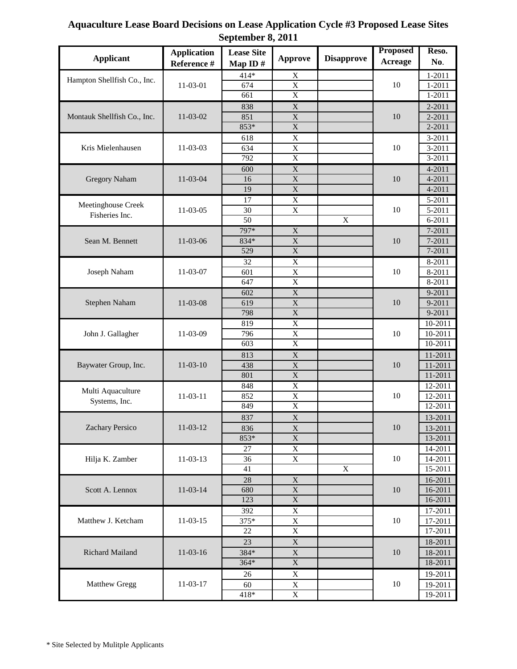## **Aquaculture Lease Board Decisions on Lease Application Cycle #3 Proposed Lease Sites September 8, 2011**

| <b>Applicant</b>            | <b>Application</b><br>Reference # | <b>Lease Site</b><br>Map ID $#$ | <b>Approve</b>             | <b>Disapprove</b>       | <b>Proposed</b> | Reso.              |
|-----------------------------|-----------------------------------|---------------------------------|----------------------------|-------------------------|-----------------|--------------------|
|                             |                                   |                                 |                            |                         | <b>Acreage</b>  | No.                |
| Hampton Shellfish Co., Inc. | 11-03-01                          | 414*                            | X                          |                         |                 | $1 - 2011$         |
|                             |                                   | 674                             | $\mathbf X$                |                         | 10              | $1 - 2011$         |
|                             |                                   | 661                             | $\overline{X}$             |                         |                 | $1 - 2011$         |
|                             | 11-03-02                          | 838                             | $\mathbf X$                |                         | 10              | 2-2011             |
| Montauk Shellfish Co., Inc. |                                   | 851                             | $\mathbf X$                |                         |                 | 2-2011             |
|                             |                                   | $853*$                          | $\mathbf X$                |                         |                 | 2-2011             |
|                             | 11-03-03                          | 618                             | $\mathbf X$                |                         | 10              | 3-2011             |
| Kris Mielenhausen           |                                   | 634                             | $\mathbf X$                |                         |                 | 3-2011             |
| <b>Gregory Naham</b>        |                                   | 792                             | $\overline{X}$             |                         |                 | 3-2011             |
|                             | 11-03-04                          | 600                             | $\mathbf X$<br>$\mathbf X$ |                         | 10              | 4-2011<br>4-2011   |
|                             |                                   | 16<br>19                        | $\mathbf X$                |                         |                 | 4-2011             |
|                             |                                   | 17                              | $\overline{X}$             |                         |                 | 5-2011             |
| Meetinghouse Creek          | 11-03-05                          | 30                              | $\mathbf X$                |                         | 10              | 5-2011             |
| Fisheries Inc.              |                                   | $\overline{50}$                 |                            | $\overline{\mathbf{X}}$ |                 | $6 - 2011$         |
|                             |                                   | 797*                            | $\overline{X}$             |                         |                 | 7-2011             |
| Sean M. Bennett             | 11-03-06                          | 834*                            | $\mathbf X$                |                         | 10              | $7 - 2011$         |
|                             |                                   | 529                             | $\overline{\mathbf{X}}$    |                         |                 | 7-2011             |
|                             |                                   | 32                              | $\overline{X}$             |                         |                 | 8-2011             |
| Joseph Naham                | 11-03-07                          | 601                             | $\overline{X}$             |                         | 10              | 8-2011             |
|                             |                                   | 647                             | $\overline{X}$             |                         |                 | 8-2011             |
|                             |                                   | 602                             | $\mathbf X$                |                         |                 | 9-2011             |
| Stephen Naham               | 11-03-08                          | 619                             | $\mathbf X$                |                         | 10              | 9-2011             |
|                             |                                   | 798                             | $\overline{X}$             |                         |                 | 9-2011             |
|                             | 11-03-09                          | 819                             | $\overline{X}$             |                         | 10              | 10-2011            |
| John J. Gallagher           |                                   | 796                             | $\mathbf X$                |                         |                 | 10-2011            |
|                             |                                   | 603                             | $\mathbf X$                |                         |                 | 10-2011            |
|                             | $11-03-10$                        | 813                             | $\mathbf X$                |                         | 10              | 11-2011            |
| Baywater Group, Inc.        |                                   | 438                             | $\mathbf X$                |                         |                 | 11-2011            |
|                             |                                   | 801                             | $\mathbf X$                |                         |                 | 11-2011            |
| Multi Aquaculture           | 11-03-11                          | 848<br>852                      | $\mathbf X$<br>$\mathbf X$ |                         | 10              | 12-2011            |
| Systems, Inc.               |                                   | 849                             | $\overline{X}$             |                         |                 | 12-2011<br>12-2011 |
|                             |                                   |                                 |                            |                         |                 |                    |
| Zachary Persico             | 11-03-12                          | 837<br>836                      | $\mathbf X$<br>$\mathbf X$ |                         | 10              | 13-2011<br>13-2011 |
|                             |                                   | $853*$                          | $\overline{\mathbf{X}}$    |                         |                 | 13-2011            |
| Hilja K. Zamber             | 11-03-13                          | 27                              | $\overline{X}$             |                         |                 | 14-2011            |
|                             |                                   | 36                              | $\mathbf X$                |                         | 10              | 14-2011            |
|                             |                                   | 41                              |                            | $\overline{X}$          |                 | 15-2011            |
| Scott A. Lennox             | 11-03-14                          | $\overline{28}$                 | $\overline{\textbf{X}}$    |                         | 10              | 16-2011            |
|                             |                                   | 680                             | $\overline{\textbf{X}}$    |                         |                 | 16-2011            |
|                             |                                   | 123                             | $\overline{\textbf{X}}$    |                         |                 | 16-2011            |
|                             | 11-03-15                          | 392                             | $\mathbf X$                |                         | $10\,$          | 17-2011            |
| Matthew J. Ketcham          |                                   | 375*                            | $\mathbf X$                |                         |                 | 17-2011            |
|                             |                                   | 22                              | $\overline{X}$             |                         |                 | 17-2011            |
| Richard Mailand             | $11-03-16$                        | 23                              | $\mathbf X$                |                         | $10\,$          | 18-2011            |
|                             |                                   | 384*                            | $\mathbf X$                |                         |                 | 18-2011            |
|                             |                                   | 364*                            | $\mathbf X$                |                         |                 | 18-2011            |
| Matthew Gregg               | 11-03-17                          | 26                              | $\mathbf X$                |                         | 10              | 19-2011            |
|                             |                                   | 60                              | $\mathbf X$                |                         |                 | 19-2011            |
|                             |                                   | $418*$                          | $\mathbf X$                |                         |                 | 19-2011            |